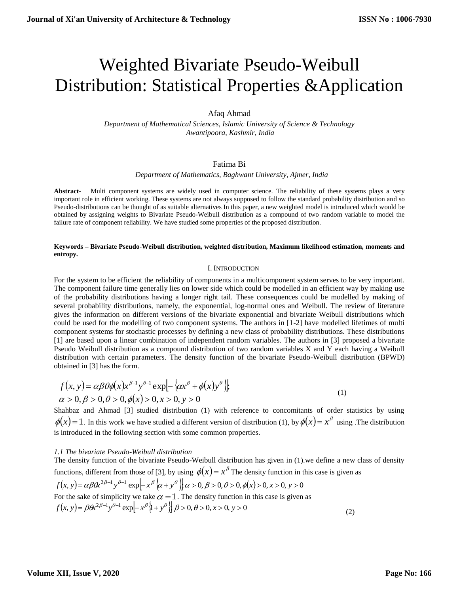# Weighted Bivariate Pseudo-Weibull Distribution: Statistical Properties &Application

Afaq Ahmad

*Department of Mathematical Sciences, Islamic University of Science & Technology Awantipoora, Kashmir, India*

# Fatima Bi

 *Department of Mathematics, Baghwant University, Ajmer, India*

**Abstract-** Multi component systems are widely used in computer science. The reliability of these systems plays a very important role in efficient working. These systems are not always supposed to follow the standard probability distribution and so Pseudo-distributions can be thought of as suitable alternatives In this paper, a new weighted model is introduced which would be obtained by assigning weights to Bivariate Pseudo-Weibull distribution as a compound of two random variable to model the failure rate of component reliability. We have studied some properties of the proposed distribution.

# **Keywords – Bivariate Pseudo-Weibull distribution, weighted distribution, Maximum likelihood estimation, moments and entropy.**

## I. INTRODUCTION

For the system to be efficient the reliability of components in a multicomponent system serves to be very important. The component failure time generally lies on lower side which could be modelled in an efficient way by making use of the probability distributions having a longer right tail. These consequences could be modelled by making of several probability distributions, namely, the exponential, log-normal ones and Weibull. The review of literature gives the information on different versions of the bivariate exponential and bivariate Weibull distributions which could be used for the modelling of two component systems. The authors in [1-2] have modelled lifetimes of multi component systems for stochastic processes by defining a new class of probability distributions. These distributions [1] are based upon a linear combination of independent random variables. The authors in [3] proposed a bivariate Pseudo Weibull distribution as a compound distribution of two random variables X and Y each having a Weibull distribution with certain parameters. The density function of the bivariate Pseudo-Weibull distribution (BPWD) obtained in [3] has the form.

$$
f(x, y) = \alpha \beta \theta \phi(x) x^{\beta - 1} y^{\beta - 1} \exp\left[-\left\{\alpha x^{\beta} + \phi(x) y^{\beta}\right\}\right]
$$
  
\n
$$
\alpha > 0, \beta > 0, \theta > 0, \phi(x) > 0, x > 0, y > 0
$$
\n(1)

Shahbaz and Ahmad [3] studied distribution (1) with reference to concomitants of order statistics by using  $\phi(x) = 1$ . In this work we have studied a different version of distribution (1), by  $\phi(x) = x^{\beta}$  using .The distribution is introduced in the following section with some common properties.

## *1.1 The bivariate Pseudo-Weibull distribution*

The density function of the bivariate Pseudo-Weibull distribution has given in (1).we define a new class of density functions, different from those of [3], by using  $\phi(x) = x^{\beta}$  The density function in this case is given as

$$
f(x, y) = \alpha \beta \theta x^{2\beta - 1} y^{\beta - 1} \exp\left[-x^{\beta} \left\{\alpha + y^{\beta}\right\}\right] \alpha > 0, \beta > 0, \theta > 0, \phi(x) > 0, x > 0, y > 0
$$
  
For the sake of simplicity we take  $\alpha = 1$ . The density function in this case is given as  

$$
f(x, y) = \beta \theta x^{2\beta - 1} y^{\beta - 1} \exp\left[-x^{\beta} \left\{1 + y^{\beta}\right\}\right] \beta > 0, \theta > 0, x > 0, y > 0
$$
 (2)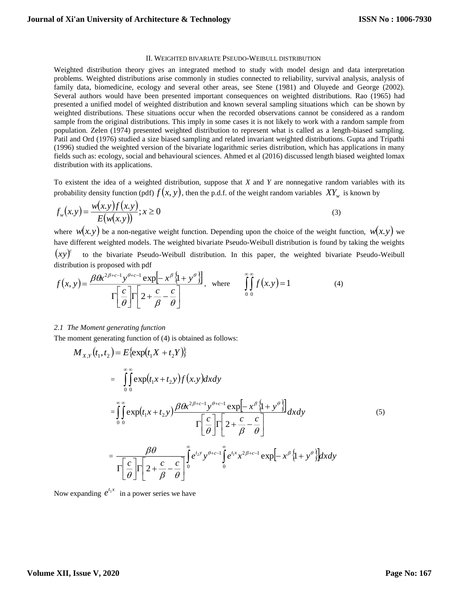### II. WEIGHTED BIVARIATE PSEUDO-WEIBULL DISTRIBUTION

Weighted distribution theory gives an integrated method to study with model design and data interpretation problems. Weighted distributions arise commonly in studies connected to reliability, survival analysis, analysis of family data, biomedicine, ecology and several other areas, see Stene (1981) and Oluyede and George (2002). Several authors would have been presented important consequences on weighted distributions. Rao (1965) had presented a unified model of weighted distribution and known several sampling situations which can be shown by weighted distributions. These situations occur when the recorded observations cannot be considered as a random sample from the original distributions. This imply in some cases it is not likely to work with a random sample from population. Zelen (1974) presented weighted distribution to represent what is called as a length-biased sampling. Patil and Ord (1976) studied a size biased sampling and related invariant weighted distributions. Gupta and Tripathi (1996) studied the weighted version of the bivariate logarithmic series distribution, which has applications in many fields such as: ecology, social and behavioural sciences. Ahmed et al (2016) discussed length biased weighted lomax distribution with its applications.

To existent the idea of a weighted distribution, suppose that *X* and *Y* are nonnegative random variables with its probability density function (pdf)  $f(x, y)$ , then the p.d.f. of the weight random variables  $\left. XY_{w}\right.$  is known by

$$
f_w(x, y) = \frac{w(x, y)f(x, y)}{E(w(x, y))}; x \ge 0
$$
\n(3)

where  $w(x, y)$  be a non-negative weight function. Depending upon the choice of the weight function,  $w(x, y)$  we have different weighted models. The weighted bivariate Pseudo-Weibull distribution is found by taking the weights  $(xy)^c$ *xy* to the bivariate Pseudo-Weibull distribution. In this paper, the weighted bivariate Pseudo-Weibull distribution is proposed with pdf

$$
f(x, y) = \frac{\beta \theta x^{2\beta + c - 1} y^{\theta + c - 1} \exp[-x^{\beta} \{1 + y^{\theta}\}]}{\Gamma\left[\frac{c}{\theta}\right] \Gamma\left[2 + \frac{c}{\beta} - \frac{c}{\theta}\right]}, \text{ where } \int_{0}^{\infty} \int_{0}^{\infty} f(x, y) = 1
$$
 (4)

### *2.1 The Moment generating function*

The moment generating function of (4) is obtained as follows:

$$
M_{X,Y}(t_1, t_2) = E\{\exp(t_1 X + t_2 Y)\}
$$
  
\n
$$
= \int_{0}^{\infty} \int_{0}^{\infty} \exp(t_1 x + t_2 y) f(x, y) dx dy
$$
  
\n
$$
= \int_{0}^{\infty} \int_{0}^{\infty} \exp(t_1 x + t_2 y) \frac{\beta \alpha^{2\beta + c - 1} y^{\beta + c - 1}}{\Gamma(\frac{c}{\theta}) \Gamma(2 + \frac{c}{\beta} - \frac{c}{\theta})} dx dy
$$
  
\n
$$
= \frac{\beta \theta}{\Gamma(\frac{c}{\theta}) \Gamma(2 + \frac{c}{\beta} - \frac{c}{\theta})} \int_{0}^{\infty} e^{t_2 y} y^{\beta + c - 1} \int_{0}^{\infty} e^{t_1 x} x^{2\beta + c - 1} \exp[-x^{\beta} \{1 + y^{\theta}\}] dx dy
$$
\n(5)

Now expanding  $e^{t_1x}$  in a power series we have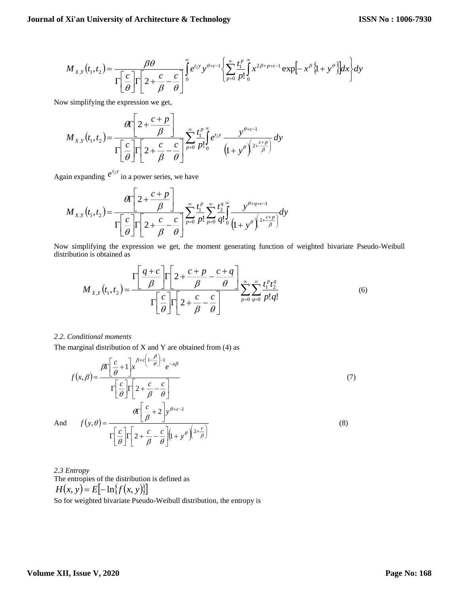$$
M_{X,Y}(t_1,t_2) = \frac{\beta \theta}{\Gamma\left[\frac{c}{\theta}\right]}\Gamma\left[2 + \frac{c}{\beta} - \frac{c}{\theta}\right]_0^{\infty}e^{t_2y}y^{\theta+c-1}\left\{\sum_{p=0}^{\infty}\frac{t_1^p}{p!}\int_0^{\infty}x^{2\beta+p+c-1}\exp\left[-x^{\beta}\left\{1+y^{\theta}\right\}\right]dx\right\}dy
$$

Now simplifying the expression we get,

$$
M_{X,Y}(t_1,t_2) = \frac{\theta \left[2 + \frac{c+p}{\beta}\right]}{\Gamma\left[\frac{c}{\theta}\right] \Gamma\left[2 + \frac{c}{\beta} - \frac{c}{\theta}\right]} \sum_{p=0}^{\infty} \frac{t_1^p}{p!} \int_0^{\infty} e^{t_2 y} \frac{y^{\theta + c-1}}{\left(1 + y^{\theta}\right)^{\left(2 + \frac{c+p}{\beta}\right)}} dy
$$

Again expanding  $e^{t_2 y}$  in a power series, we have

$$
M_{X,Y}(t_1,t_2) = \frac{\theta \left[2 + \frac{c+p}{\beta}\right]}{\Gamma\left[\frac{c}{\theta}\right] \Gamma\left[2 + \frac{c}{\beta} - \frac{c}{\theta}\right]} \sum_{p=0}^{\infty} \frac{t_1^p}{p!} \sum_{p=0}^{\infty} \frac{t_2^q}{q!} \int_0^{\infty} \frac{y^{\theta+q+c-1}}{\left(1+y^{\theta}\right)^{2+\frac{c+p}{\beta}}} dy
$$

Now simplifying the expression we get, the moment generating function of weighted bivariate Pseudo-Weibull distribution is obtained as

$$
M_{X,Y}(t_1, t_2) = \frac{\Gamma\left[\frac{q+c}{\beta}\right]\Gamma\left[2 + \frac{c+p}{\beta} - \frac{c+q}{\theta}\right]}{\Gamma\left[\frac{c}{\theta}\right]\Gamma\left[2 + \frac{c}{\beta} - \frac{c}{\theta}\right]} \sum_{p=0}^{\infty} \sum_{q=0}^{\infty} \frac{t_1^p t_2^q}{p! q!}
$$
(6)

# *2.2. Conditional moments*

The marginal distribution of  $X$  and  $Y$  are obtained from (4) as

$$
f(x,\beta) = \frac{\beta \Gamma \left[\frac{c}{\theta} + 1\right] x^{\beta + c \left(1 - \frac{\beta}{\theta}\right) - 1} e^{-x\beta}}{\Gamma \left[\frac{c}{\theta}\right] \Gamma \left[2 + \frac{c}{\beta} - \frac{c}{\theta}\right]}
$$
(7)  
And 
$$
f(y,\theta) = \frac{\theta \Gamma \left[\frac{c}{\beta} + 2\right] y^{\theta + c - 1}}{\Gamma \left[\frac{c}{\theta}\right] \Gamma \left[2 + \frac{c}{\beta} - \frac{c}{\theta}\right] \left(1 + y^{\theta}\right)^{\left(2 + \frac{c}{\beta}\right)}}
$$
(8)

*2.3 Entropy*

The entropies of the distribution is defined as  $H(x, y) = E[-\ln\{f(x, y)\}]$ So for weighted bivariate Pseudo-Weibull distribution, the entropy is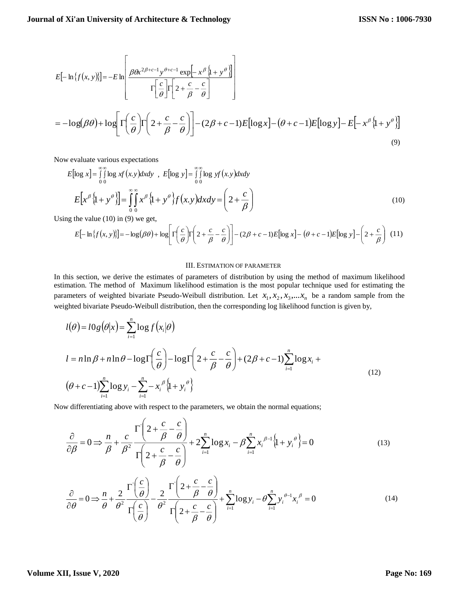$$
E[-\ln\{f(x,y)\}] = -E\ln\left[\frac{\beta\theta x^{2\beta+c-1}y^{\theta+c-1}\exp[-x^{\beta}\{1+y^{\theta}\}] }{\Gamma[\frac{c}{\theta}]\Gamma[2+\frac{c}{\beta}-\frac{c}{\theta}] }\right]
$$
  
= 
$$
-\log(\beta\theta) + \log\left[\Gamma\left(\frac{c}{\theta}\right)\Gamma\left(2+\frac{c}{\beta}-\frac{c}{\theta}\right)\right] - (2\beta+c-1)E[\log x] - (\theta+c-1)E[\log y] - E[-x^{\beta}\{1+y^{\theta}\}]
$$
  
(9)

Now evaluate various expectations

$$
E[\log x] = \int_{0}^{\infty} \int_{0}^{\infty} \log x f(x, y) dx dy, \quad E[\log y] = \int_{0}^{\infty} \int_{0}^{\infty} \log y f(x, y) dx dy
$$

$$
E[x^{\beta} \{1 + y^{\theta}\}] = \int_{0}^{\infty} \int_{0}^{\infty} x^{\beta} \{1 + y^{\theta}\} f(x, y) dx dy = \left(2 + \frac{c}{\beta}\right)
$$
(10)

Using the value (10) in (9) we get,

$$
E[-\ln\{f(x,y)\}] = -\log(\beta\theta) + \log\left[\Gamma\left(\frac{c}{\theta}\right)\Gamma\left(2 + \frac{c}{\beta} - \frac{c}{\theta}\right)\right] - (2\beta + c - 1)E[\log x] - (\theta + c - 1)E[\log y] - \left(2 + \frac{c}{\beta}\right)
$$
(11)

#### III. ESTIMATION OF PARAMETER

In this section, we derive the estimates of parameters of distribution by using the method of maximum likelihood estimation. The method of Maximum likelihood estimation is the most popular technique used for estimating the parameters of weighted bivariate Pseudo-Weibull distribution. Let  $x_1, x_2, x_3,...x_n$  be a random sample from the weighted bivariate Pseudo-Weibull distribution, then the corresponding log likelihood function is given by,

$$
l(\theta) = l0g(\theta|x) = \sum_{i=1}^{n} \log f(x_i|\theta)
$$
  
\n
$$
l = n \ln \beta + n \ln \theta - \log \Gamma \left(\frac{c}{\theta}\right) - \log \Gamma \left(2 + \frac{c}{\beta} - \frac{c}{\theta}\right) + (2\beta + c - 1) \sum_{i=1}^{n} \log x_i +
$$
  
\n
$$
(\theta + c - 1) \sum_{i=1}^{n} \log y_i - \sum_{i=1}^{n} -x_i^{\beta} \left\{1 + y_i^{\theta}\right\}
$$
\n(12)

Now differentiating above with respect to the parameters, we obtain the normal equations;

$$
\frac{\partial}{\partial \beta} = 0 \Longrightarrow \frac{n}{\beta} + \frac{c}{\beta^2} \frac{\Gamma\left(2 + \frac{c}{\beta} - \frac{c}{\theta}\right)}{\Gamma\left(2 + \frac{c}{\beta} - \frac{c}{\theta}\right)} + 2\sum_{i=1}^n \log x_i - \beta \sum_{i=1}^n x_i^{\beta - 1} \left\{1 + y_i^{\beta}\right\} = 0 \tag{13}
$$

$$
\frac{\partial}{\partial \theta} = 0 \Longrightarrow \frac{n}{\theta} + \frac{2}{\theta^2} \frac{\Gamma\left(\frac{c}{\theta}\right)}{\Gamma\left(\frac{c}{\theta}\right)} - \frac{2}{\theta^2} \frac{\Gamma\left(2 + \frac{c}{\beta} - \frac{c}{\theta}\right)}{\Gamma\left(2 + \frac{c}{\beta} - \frac{c}{\theta}\right)} + \sum_{i=1}^n \log y_i - \theta \sum_{i=1}^n y_i^{\theta - 1} x_i^{\beta} = 0 \tag{14}
$$

# **Volume XII, Issue V, 2020**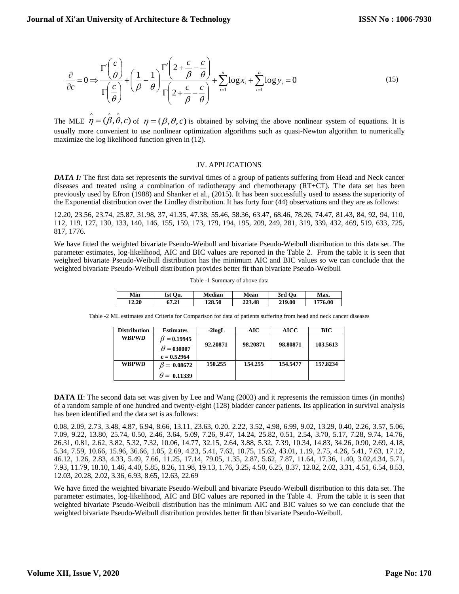$$
\frac{\partial}{\partial c} = 0 \Longrightarrow \frac{\Gamma\left(\frac{c}{\theta}\right)}{\Gamma\left(\frac{c}{\theta}\right)} + \left(\frac{1}{\beta} - \frac{1}{\theta}\right) \frac{\Gamma\left(2 + \frac{c}{\beta} - \frac{c}{\theta}\right)}{\Gamma\left(2 + \frac{c}{\beta} - \frac{c}{\theta}\right)} + \sum_{i=1}^{n} \log x_i + \sum_{i=1}^{n} \log y_i = 0 \tag{15}
$$

The MLE  $\hat{\eta} = (\hat{\beta}, \hat{\theta}, c)$  of  $\eta = (\beta, \theta, c)$  is obtained by solving the above nonlinear system of equations. It is usually more convenient to use nonlinear optimization algorithms such as quasi-Newton algorithm to numerically maximize the log likelihood function given in (12).

# IV. APPLICATIONS

*DATA I:* The first data set represents the survival times of a group of patients suffering from Head and Neck cancer diseases and treated using a combination of radiotherapy and chemotherapy (RT+CT). The data set has been previously used by Efron (1988) and Shanker et al., (2015). It has been successfully used to assess the superiority of the Exponential distribution over the Lindley distribution. It has forty four (44) observations and they are as follows:

12.20, 23.56, 23.74, 25.87, 31.98, 37, 41.35, 47.38, 55.46, 58.36, 63.47, 68.46, 78.26, 74.47, 81.43, 84, 92, 94, 110, 112, 119, 127, 130, 133, 140, 146, 155, 159, 173, 179, 194, 195, 209, 249, 281, 319, 339, 432, 469, 519, 633, 725, 817, 1776.

We have fitted the weighted bivariate Pseudo-Weibull and bivariate Pseudo-Weibull distribution to this data set. The parameter estimates, log-likelihood, AIC and BIC values are reported in the Table 2. From the table it is seen that weighted bivariate Pseudo-Weibull distribution has the minimum AIC and BIC values so we can conclude that the weighted bivariate Pseudo-Weibull distribution provides better fit than bivariate Pseudo-Weibull

Table -1 Summary of above data

| Min   | Ist Ou. | Median | Mean   | 3rd Ou | Max.    |
|-------|---------|--------|--------|--------|---------|
| 12.20 | 67.21   | 128.50 | 223.48 | 219.00 | 1776.00 |

| Table -2 ML estimates and Criteria for Comparison for data of patients suffering from head and neck cancer diseases |  |  |  |
|---------------------------------------------------------------------------------------------------------------------|--|--|--|
|---------------------------------------------------------------------------------------------------------------------|--|--|--|

| <b>Distribution</b> | <b>Estimates</b>   | $-2logL$ | AIC      | <b>AICC</b> | BIC      |
|---------------------|--------------------|----------|----------|-------------|----------|
| <b>WBPWD</b>        | $\beta = 0.19945$  | 92.20871 | 98.20871 | 98.80871    | 103.5613 |
|                     | $\theta = 030007$  |          |          |             |          |
|                     | $c = 0.52964$      |          |          |             |          |
| WBPWD               | $\beta = 0.08672$  | 150.255  | 154.255  | 154.5477    | 157.8234 |
|                     | $\theta = 0.11339$ |          |          |             |          |

**DATA II**: The second data set was given by Lee and Wang (2003) and it represents the remission times (in months) of a random sample of one hundred and twenty-eight (128) bladder cancer patients. Its application in survival analysis has been identified and the data set is as follows:

0.08, 2.09, 2.73, 3.48, 4.87, 6.94, 8.66, 13.11, 23.63, 0.20, 2.22, 3.52, 4.98, 6.99, 9.02, 13.29, 0.40, 2.26, 3.57, 5.06, 7.09, 9.22, 13.80, 25.74, 0.50, 2.46, 3.64, 5.09, 7.26, 9.47, 14.24, 25.82, 0.51, 2.54, 3.70, 5.17, 7.28, 9.74, 14.76, 26.31, 0.81, 2.62, 3.82, 5.32, 7.32, 10.06, 14.77, 32.15, 2.64, 3.88, 5.32, 7.39, 10.34, 14.83, 34.26, 0.90, 2.69, 4.18, 5.34, 7.59, 10.66, 15.96, 36.66, 1.05, 2.69, 4.23, 5.41, 7.62, 10.75, 15.62, 43.01, 1.19, 2.75, 4.26, 5.41, 7.63, 17.12, 46.12, 1.26, 2.83, 4.33, 5.49, 7.66, 11.25, 17.14, 79.05, 1.35, 2.87, 5.62, 7.87, 11.64, 17.36, 1.40, 3.02,4.34, 5.71, 7.93, 11.79, 18.10, 1.46, 4.40, 5.85, 8.26, 11.98, 19.13, 1.76, 3.25, 4.50, 6.25, 8.37, 12.02, 2.02, 3.31, 4.51, 6.54, 8.53, 12.03, 20.28, 2.02, 3.36, 6.93, 8.65, 12.63, 22.69

We have fitted the weighted bivariate Pseudo-Weibull and bivariate Pseudo-Weibull distribution to this data set. The parameter estimates, log-likelihood, AIC and BIC values are reported in the Table 4. From the table it is seen that weighted bivariate Pseudo-Weibull distribution has the minimum AIC and BIC values so we can conclude that the weighted bivariate Pseudo-Weibull distribution provides better fit than bivariate Pseudo-Weibull.